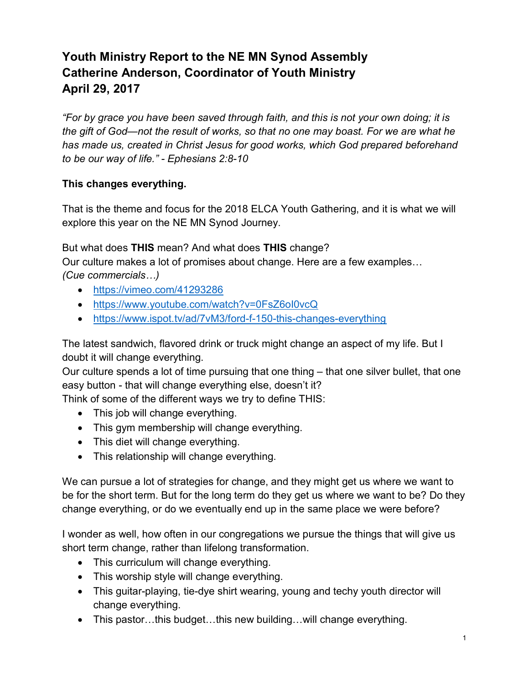## Youth Ministry Report to the NE MN Synod Assembly Catherine Anderson, Coordinator of Youth Ministry April 29, 2017

"For by grace you have been saved through faith, and this is not your own doing; it is the gift of God—not the result of works, so that no one may boast. For we are what he has made us, created in Christ Jesus for good works, which God prepared beforehand to be our way of life." - Ephesians 2:8-10

## This changes everything.

That is the theme and focus for the 2018 ELCA Youth Gathering, and it is what we will explore this year on the NE MN Synod Journey.

But what does THIS mean? And what does THIS change?

Our culture makes a lot of promises about change. Here are a few examples… (Cue commercials…)

- https://vimeo.com/41293286
- https://www.youtube.com/watch?v=0FsZ6oI0vcQ
- https://www.ispot.tv/ad/7vM3/ford-f-150-this-changes-everything

The latest sandwich, flavored drink or truck might change an aspect of my life. But I doubt it will change everything.

Our culture spends a lot of time pursuing that one thing – that one silver bullet, that one easy button - that will change everything else, doesn't it?

Think of some of the different ways we try to define THIS:

- This job will change everything.
- This gym membership will change everything.
- This diet will change everything.
- This relationship will change everything.

We can pursue a lot of strategies for change, and they might get us where we want to be for the short term. But for the long term do they get us where we want to be? Do they change everything, or do we eventually end up in the same place we were before?

I wonder as well, how often in our congregations we pursue the things that will give us short term change, rather than lifelong transformation.

- This curriculum will change everything.
- This worship style will change everything.
- This guitar-playing, tie-dye shirt wearing, young and techy youth director will change everything.
- This pastor…this budget…this new building…will change everything.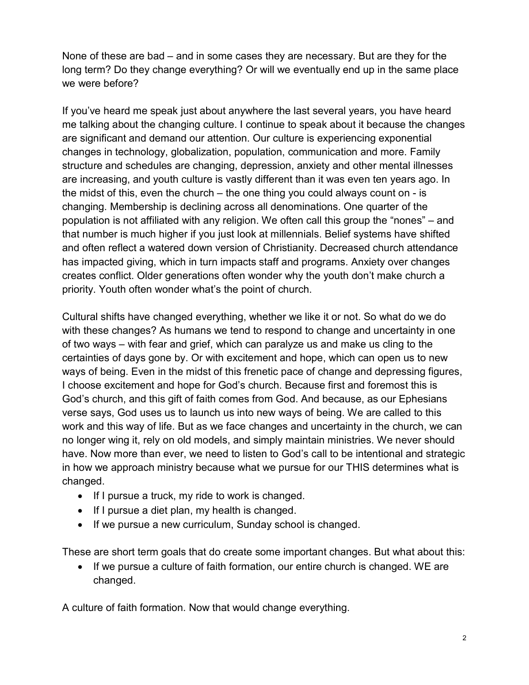None of these are bad – and in some cases they are necessary. But are they for the long term? Do they change everything? Or will we eventually end up in the same place we were before?

If you've heard me speak just about anywhere the last several years, you have heard me talking about the changing culture. I continue to speak about it because the changes are significant and demand our attention. Our culture is experiencing exponential changes in technology, globalization, population, communication and more. Family structure and schedules are changing, depression, anxiety and other mental illnesses are increasing, and youth culture is vastly different than it was even ten years ago. In the midst of this, even the church – the one thing you could always count on - is changing. Membership is declining across all denominations. One quarter of the population is not affiliated with any religion. We often call this group the "nones" – and that number is much higher if you just look at millennials. Belief systems have shifted and often reflect a watered down version of Christianity. Decreased church attendance has impacted giving, which in turn impacts staff and programs. Anxiety over changes creates conflict. Older generations often wonder why the youth don't make church a priority. Youth often wonder what's the point of church.

Cultural shifts have changed everything, whether we like it or not. So what do we do with these changes? As humans we tend to respond to change and uncertainty in one of two ways – with fear and grief, which can paralyze us and make us cling to the certainties of days gone by. Or with excitement and hope, which can open us to new ways of being. Even in the midst of this frenetic pace of change and depressing figures, I choose excitement and hope for God's church. Because first and foremost this is God's church, and this gift of faith comes from God. And because, as our Ephesians verse says, God uses us to launch us into new ways of being. We are called to this work and this way of life. But as we face changes and uncertainty in the church, we can no longer wing it, rely on old models, and simply maintain ministries. We never should have. Now more than ever, we need to listen to God's call to be intentional and strategic in how we approach ministry because what we pursue for our THIS determines what is changed.

- If I pursue a truck, my ride to work is changed.
- If I pursue a diet plan, my health is changed.
- If we pursue a new curriculum, Sunday school is changed.

These are short term goals that do create some important changes. But what about this:

• If we pursue a culture of faith formation, our entire church is changed. WE are changed.

A culture of faith formation. Now that would change everything.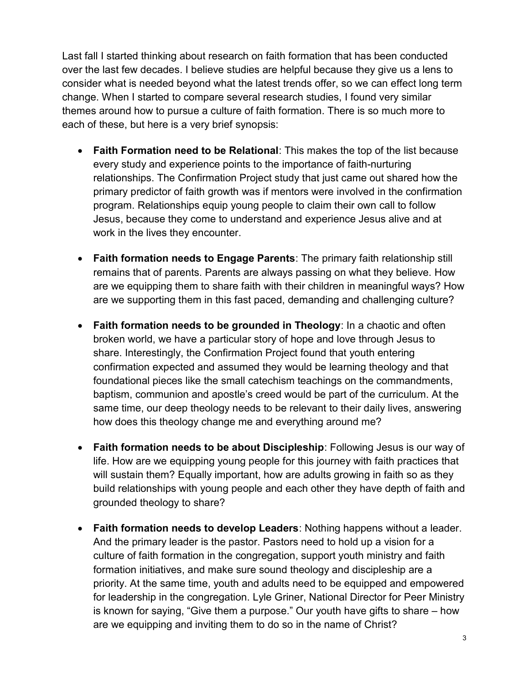Last fall I started thinking about research on faith formation that has been conducted over the last few decades. I believe studies are helpful because they give us a lens to consider what is needed beyond what the latest trends offer, so we can effect long term change. When I started to compare several research studies, I found very similar themes around how to pursue a culture of faith formation. There is so much more to each of these, but here is a very brief synopsis:

- Faith Formation need to be Relational: This makes the top of the list because every study and experience points to the importance of faith-nurturing relationships. The Confirmation Project study that just came out shared how the primary predictor of faith growth was if mentors were involved in the confirmation program. Relationships equip young people to claim their own call to follow Jesus, because they come to understand and experience Jesus alive and at work in the lives they encounter.
- Faith formation needs to Engage Parents: The primary faith relationship still remains that of parents. Parents are always passing on what they believe. How are we equipping them to share faith with their children in meaningful ways? How are we supporting them in this fast paced, demanding and challenging culture?
- Faith formation needs to be grounded in Theology: In a chaotic and often broken world, we have a particular story of hope and love through Jesus to share. Interestingly, the Confirmation Project found that youth entering confirmation expected and assumed they would be learning theology and that foundational pieces like the small catechism teachings on the commandments, baptism, communion and apostle's creed would be part of the curriculum. At the same time, our deep theology needs to be relevant to their daily lives, answering how does this theology change me and everything around me?
- Faith formation needs to be about Discipleship: Following Jesus is our way of life. How are we equipping young people for this journey with faith practices that will sustain them? Equally important, how are adults growing in faith so as they build relationships with young people and each other they have depth of faith and grounded theology to share?
- Faith formation needs to develop Leaders: Nothing happens without a leader. And the primary leader is the pastor. Pastors need to hold up a vision for a culture of faith formation in the congregation, support youth ministry and faith formation initiatives, and make sure sound theology and discipleship are a priority. At the same time, youth and adults need to be equipped and empowered for leadership in the congregation. Lyle Griner, National Director for Peer Ministry is known for saying, "Give them a purpose." Our youth have gifts to share – how are we equipping and inviting them to do so in the name of Christ?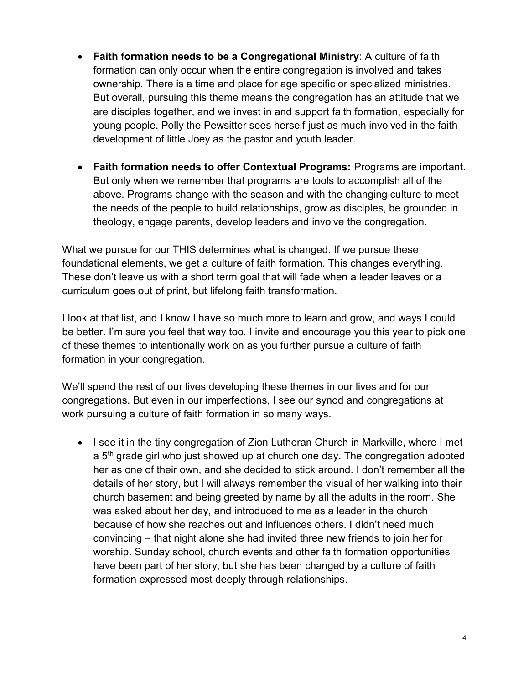- Faith formation needs to be a Congregational Ministry: A culture of faith formation can only occur when the entire congregation is involved and takes ownership. There is a time and place for age specific or specialized ministries. But overall, pursuing this theme means the congregation has an attitude that we are disciples together, and we invest in and support faith formation, especially for young people. Polly the Pewsitter sees herself just as much involved in the faith development of little Joey as the pastor and youth leader.
- Faith formation needs to offer Contextual Programs: Programs are important. But only when we remember that programs are tools to accomplish all of the above. Programs change with the season and with the changing culture to meet the needs of the people to build relationships, grow as disciples, be grounded in theology, engage parents, develop leaders and involve the congregation.

What we pursue for our THIS determines what is changed. If we pursue these foundational elements, we get a culture of faith formation. This changes everything. These don't leave us with a short term goal that will fade when a leader leaves or a curriculum goes out of print, but lifelong faith transformation.

I look at that list, and I know I have so much more to learn and grow, and ways I could be better. I'm sure you feel that way too. I invite and encourage you this year to pick one of these themes to intentionally work on as you further pursue a culture of faith formation in your congregation.

We'll spend the rest of our lives developing these themes in our lives and for our congregations. But even in our imperfections, I see our synod and congregations at work pursuing a culture of faith formation in so many ways.

• I see it in the tiny congregation of Zion Lutheran Church in Markville, where I met a 5<sup>th</sup> grade girl who just showed up at church one day. The congregation adopted her as one of their own, and she decided to stick around. I don't remember all the details of her story, but I will always remember the visual of her walking into their church basement and being greeted by name by all the adults in the room. She was asked about her day, and introduced to me as a leader in the church because of how she reaches out and influences others. I didn't need much convincing – that night alone she had invited three new friends to join her for worship. Sunday school, church events and other faith formation opportunities have been part of her story, but she has been changed by a culture of faith formation expressed most deeply through relationships.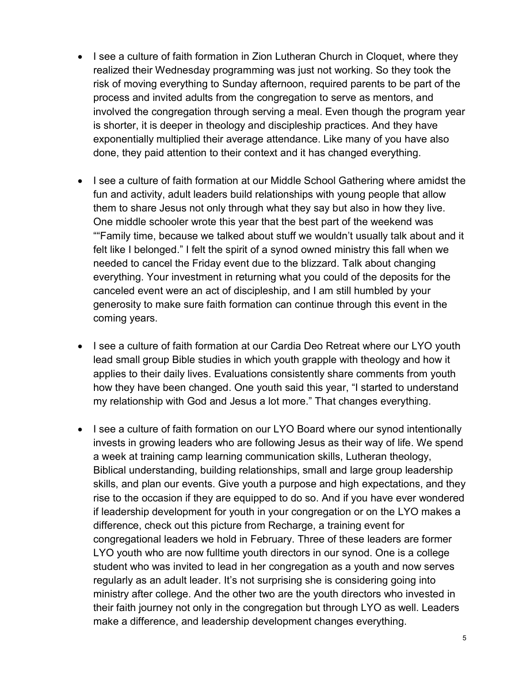- I see a culture of faith formation in Zion Lutheran Church in Cloquet, where they realized their Wednesday programming was just not working. So they took the risk of moving everything to Sunday afternoon, required parents to be part of the process and invited adults from the congregation to serve as mentors, and involved the congregation through serving a meal. Even though the program year is shorter, it is deeper in theology and discipleship practices. And they have exponentially multiplied their average attendance. Like many of you have also done, they paid attention to their context and it has changed everything.
- I see a culture of faith formation at our Middle School Gathering where amidst the fun and activity, adult leaders build relationships with young people that allow them to share Jesus not only through what they say but also in how they live. One middle schooler wrote this year that the best part of the weekend was ""Family time, because we talked about stuff we wouldn't usually talk about and it felt like I belonged." I felt the spirit of a synod owned ministry this fall when we needed to cancel the Friday event due to the blizzard. Talk about changing everything. Your investment in returning what you could of the deposits for the canceled event were an act of discipleship, and I am still humbled by your generosity to make sure faith formation can continue through this event in the coming years.
- I see a culture of faith formation at our Cardia Deo Retreat where our LYO youth lead small group Bible studies in which youth grapple with theology and how it applies to their daily lives. Evaluations consistently share comments from youth how they have been changed. One youth said this year, "I started to understand my relationship with God and Jesus a lot more." That changes everything.
- I see a culture of faith formation on our LYO Board where our synod intentionally invests in growing leaders who are following Jesus as their way of life. We spend a week at training camp learning communication skills, Lutheran theology, Biblical understanding, building relationships, small and large group leadership skills, and plan our events. Give youth a purpose and high expectations, and they rise to the occasion if they are equipped to do so. And if you have ever wondered if leadership development for youth in your congregation or on the LYO makes a difference, check out this picture from Recharge, a training event for congregational leaders we hold in February. Three of these leaders are former LYO youth who are now fulltime youth directors in our synod. One is a college student who was invited to lead in her congregation as a youth and now serves regularly as an adult leader. It's not surprising she is considering going into ministry after college. And the other two are the youth directors who invested in their faith journey not only in the congregation but through LYO as well. Leaders make a difference, and leadership development changes everything.